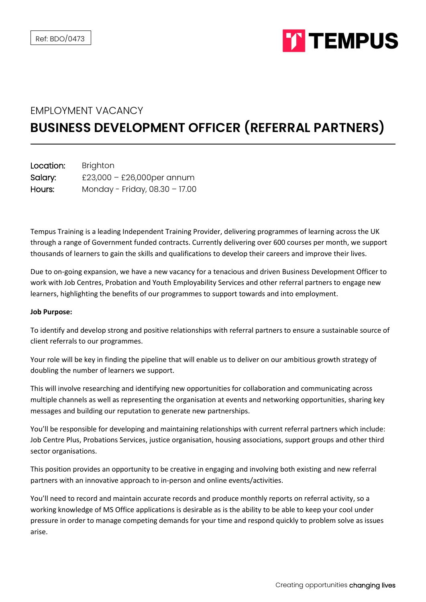

# EMPLOYMENT VACANCY

# **BUSINESS DEVELOPMENT OFFICER (REFERRAL PARTNERS)**

| Location: | <b>Brighton</b>                |
|-----------|--------------------------------|
| Salary:   | £23,000 - £26,000per annum     |
| Hours:    | Monday - Friday, 08.30 - 17.00 |

Tempus Training is a leading Independent Training Provider, delivering programmes of learning across the UK through a range of Government funded contracts. Currently delivering over 600 courses per month, we support thousands of learners to gain the skills and qualifications to develop their careers and improve their lives.

Due to on-going expansion, we have a new vacancy for a tenacious and driven Business Development Officer to work with Job Centres, Probation and Youth Employability Services and other referral partners to engage new learners, highlighting the benefits of our programmes to support towards and into employment.

## **Job Purpose:**

To identify and develop strong and positive relationships with referral partners to ensure a sustainable source of client referrals to our programmes.

Your role will be key in finding the pipeline that will enable us to deliver on our ambitious growth strategy of doubling the number of learners we support.

This will involve researching and identifying new opportunities for collaboration and communicating across multiple channels as well as representing the organisation at events and networking opportunities, sharing key messages and building our reputation to generate new partnerships.

You'll be responsible for developing and maintaining relationships with current referral partners which include: Job Centre Plus, Probations Services, justice organisation, housing associations, support groups and other third sector organisations.

This position provides an opportunity to be creative in engaging and involving both existing and new referral partners with an innovative approach to in-person and online events/activities.

You'll need to record and maintain accurate records and produce monthly reports on referral activity, so a working knowledge of MS Office applications is desirable as is the ability to be able to keep your cool under pressure in order to manage competing demands for your time and respond quickly to problem solve as issues arise.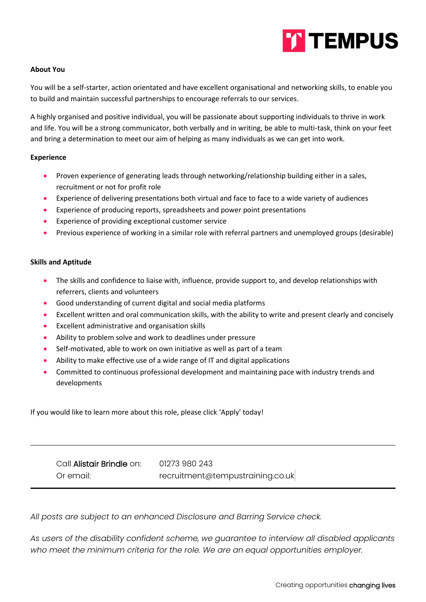

# **About You**

You will be a self-starter, action orientated and have excellent organisational and networking skills, to enable you to build and maintain successful partnerships to encourage referrals to our services.

A highly organised and positive individual, you will be passionate about supporting individuals to thrive in work and life. You will be a strong communicator, both verbally and in writing, be able to multi-task, think on your feet and bring a determination to meet our aim of helping as many individuals as we can get into work.

### **Experience**

- Proven experience of generating leads through networking/relationship building either in a sales, recruitment or not for profit role
- Experience of delivering presentations both virtual and face to face to a wide variety of audiences
- Experience of producing reports, spreadsheets and power point presentations
- Experience of providing exceptional customer service
- Previous experience of working in a similar role with referral partners and unemployed groups (desirable)

### **Skills and Aptitude**

- The skills and confidence to liaise with, influence, provide support to, and develop relationships with referrers, clients and volunteers
- Good understanding of current digital and social media platforms
- Excellent written and oral communication skills, with the ability to write and present clearly and concisely
- Excellent administrative and organisation skills
- Ability to problem solve and work to deadlines under pressure
- Self-motivated, able to work on own initiative as well as part of a team
- Ability to make effective use of a wide range of IT and digital applications
- Committed to continuous professional development and maintaining pace with industry trends and developments

If you would like to learn more about this role, please click 'Apply' today!

Call Alistair Brindle on: [01273 980 243](tel:01273669455) Or email: recruitment@tempustraining.co.uk

*All posts are subject to an enhanced Disclosure and Barring Service check.*

*As users of the disability confident scheme, we guarantee to interview all disabled applicants who meet the minimum criteria for the role. We are an equal opportunities employer.*